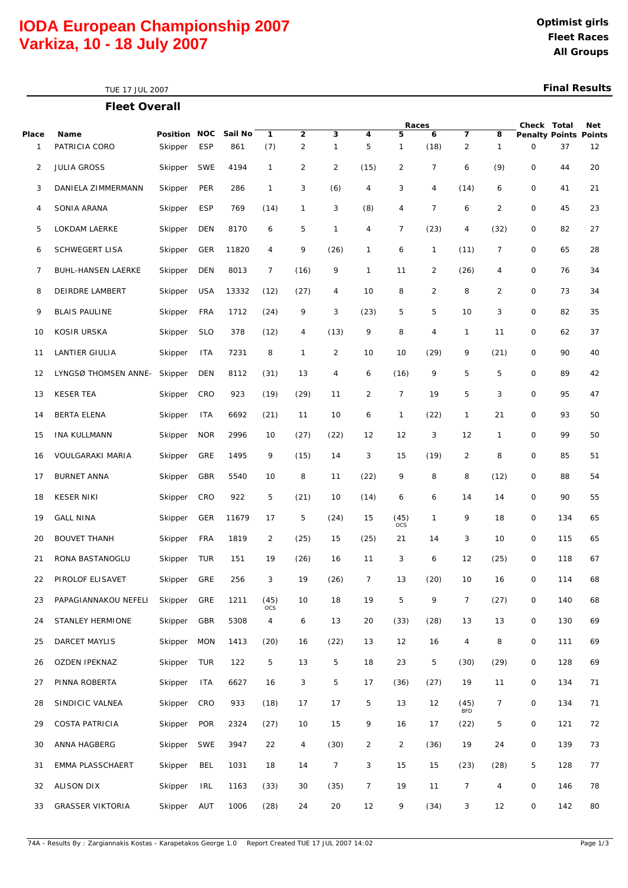# **IODA European Championship 2007 All Groups Varkiza, 10 - 18 July 2007**

**Fleet Overall** TUE 17 JUL 2007

### **Final Results**

|       |                           |              |            |         |                              |                                |                |                | Races          |                |                     | Check Total       | Net                               |     |    |
|-------|---------------------------|--------------|------------|---------|------------------------------|--------------------------------|----------------|----------------|----------------|----------------|---------------------|-------------------|-----------------------------------|-----|----|
| Place | Name<br>PATRICIA CORO     | Position NOC | <b>ESP</b> | Sail No | 1<br>(7)                     | $\mathbf{2}$<br>$\overline{c}$ | 3<br>1         | 4<br>5         | 5              | 6<br>(18)      | 7<br>$\overline{c}$ | 8<br>$\mathbf{1}$ | <b>Penalty Points Points</b><br>0 | 37  |    |
| 1     |                           | Skipper      |            | 861     |                              |                                |                |                | $\mathbf{1}$   |                |                     |                   |                                   |     | 12 |
| 2     | <b>JULIA GROSS</b>        | Skipper      | <b>SWE</b> | 4194    | $\mathbf{1}$                 | $\overline{2}$                 | 2              | (15)           | $\overline{c}$ | 7              | 6                   | (9)               | 0                                 | 44  | 20 |
| 3     | DANIELA ZIMMERMANN        | Skipper      | PER        | 286     | $\mathbf{1}$                 | 3                              | (6)            | 4              | 3              | 4              | (14)                | 6                 | 0                                 | 41  | 21 |
| 4     | SONIA ARANA               | Skipper      | <b>ESP</b> | 769     | (14)                         | 1                              | 3              | (8)            | 4              | $\overline{7}$ | 6                   | 2                 | 0                                 | 45  | 23 |
| 5     | LOKDAM LAERKE             | Skipper      | DEN        | 8170    | 6                            | 5                              | 1              | 4              | $\overline{7}$ | (23)           | 4                   | (32)              | 0                                 | 82  | 27 |
| 6     | <b>SCHWEGERT LISA</b>     | Skipper      | <b>GER</b> | 11820   | 4                            | 9                              | (26)           | 1              | 6              | 1              | (11)                | $\overline{7}$    | 0                                 | 65  | 28 |
| 7     | <b>BUHL-HANSEN LAERKE</b> | Skipper      | <b>DEN</b> | 8013    | $\overline{7}$               | (16)                           | 9              | 1              | 11             | $\overline{2}$ | (26)                | 4                 | 0                                 | 76  | 34 |
| 8     | DEIRDRE LAMBERT           | Skipper      | <b>USA</b> | 13332   | (12)                         | (27)                           | 4              | 10             | 8              | $\overline{2}$ | 8                   | 2                 | 0                                 | 73  | 34 |
| 9     | <b>BLAIS PAULINE</b>      | Skipper      | <b>FRA</b> | 1712    | (24)                         | 9                              | 3              | (23)           | 5              | 5              | 10                  | 3                 | 0                                 | 82  | 35 |
| 10    | <b>KOSIR URSKA</b>        | Skipper      | <b>SLO</b> | 378     | (12)                         | 4                              | (13)           | 9              | 8              | 4              | 1                   | 11                | 0                                 | 62  | 37 |
| 11    | LANTIER GIULIA            | Skipper      | <b>ITA</b> | 7231    | 8                            | $\mathbf{1}$                   | $\overline{2}$ | 10             | 10             | (29)           | 9                   | (21)              | 0                                 | 90  | 40 |
| 12    | LYNGSØ THOMSEN ANNE-      | Skipper      | <b>DEN</b> | 8112    | (31)                         | 13                             | 4              | 6              | (16)           | 9              | 5                   | 5                 | 0                                 | 89  | 42 |
| 13    | <b>KESER TEA</b>          | Skipper      | CRO        | 923     | (19)                         | (29)                           | 11             | 2              | 7              | 19             | 5                   | 3                 | $\mathbf 0$                       | 95  | 47 |
| 14    | <b>BERTA ELENA</b>        | Skipper      | <b>ITA</b> | 6692    | (21)                         | 11                             | 10             | 6              | $\mathbf{1}$   | (22)           | 1                   | 21                | 0                                 | 93  | 50 |
| 15    | <b>INA KULLMANN</b>       | Skipper      | <b>NOR</b> | 2996    | 10                           | (27)                           | (22)           | 12             | 12             | 3              | 12                  | $\mathbf{1}$      | 0                                 | 99  | 50 |
| 16    | VOULGARAKI MARIA          | Skipper      | GRE        | 1495    | 9                            | (15)                           | 14             | 3              | 15             | (19)           | $\overline{c}$      | 8                 | 0                                 | 85  | 51 |
| 17    | <b>BURNET ANNA</b>        | Skipper      | GBR        | 5540    | 10                           | 8                              | 11             | (22)           | 9              | 8              | 8                   | (12)              | 0                                 | 88  | 54 |
| 18    | <b>KESER NIKI</b>         | Skipper      | CRO        | 922     | 5                            | (21)                           | 10             | (14)           | 6              | 6              | 14                  | 14                | 0                                 | 90  | 55 |
| 19    | <b>GALL NINA</b>          | Skipper      | <b>GER</b> | 11679   | 17                           | 5                              | (24)           | 15             | (45)<br>OCS    | 1              | 9                   | 18                | 0                                 | 134 | 65 |
| 20    | <b>BOUVET THANH</b>       | Skipper      | <b>FRA</b> | 1819    | 2                            | (25)                           | 15             | (25)           | 21             | 14             | 3                   | 10                | 0                                 | 115 | 65 |
| 21    | RONA BASTANOGLU           | Skipper      | TUR        | 151     | 19                           | (26)                           | 16             | 11             | 3              | 6              | 12                  | (25)              | 0                                 | 118 | 67 |
| 22    | PIROLOF ELISAVET          | Skipper      | GRE        | 256     | 3                            | 19                             | (26)           | 7              | 13             | (20)           | 10                  | 16                | 0                                 | 114 | 68 |
| 23    | PAPAGIANNAKOU NEFELI      | Skipper      | GRE        | 1211    | (45)                         | 10                             | 18             | 19             | 5              | 9              | $\overline{7}$      | (27)              | 0                                 | 140 | 68 |
| 24    | <b>STANLEY HERMIONE</b>   | Skipper      | GBR        | 5308    | <b>OCS</b><br>$\overline{4}$ | 6                              | 13             | 20             | (33)           | (28)           | 13                  | 13                | 0                                 | 130 | 69 |
| 25    | <b>DARCET MAYLIS</b>      | Skipper      | <b>MON</b> | 1413    | (20)                         | 16                             | (22)           | 13             | 12             | 16             | $\overline{4}$      | 8                 | 0                                 | 111 | 69 |
| 26    | OZDEN IPEKNAZ             | Skipper      | <b>TUR</b> | 122     | 5                            | 13                             | 5              | 18             | 23             | 5              | (30)                | (29)              | 0                                 | 128 | 69 |
| 27    | PINNA ROBERTA             | Skipper      | <b>ITA</b> | 6627    | 16                           | 3                              | 5              | 17             | (36)           | (27)           | 19                  | 11                | 0                                 | 134 | 71 |
| 28    | SINDICIC VALNEA           | Skipper      | CRO        | 933     | (18)                         | 17                             | 17             | 5              | 13             | 12             | (45)                | $\overline{7}$    | 0                                 | 134 | 71 |
| 29    | <b>COSTA PATRICIA</b>     | Skipper      | <b>POR</b> | 2324    | (27)                         | 10                             | 15             | 9              | 16             | 17             | <b>BFD</b><br>(22)  | 5                 | 0                                 | 121 | 72 |
| 30    | ANNA HAGBERG              | Skipper      | <b>SWE</b> | 3947    | 22                           | 4                              | (30)           | 2              | $\overline{2}$ | (36)           | 19                  | 24                | 0                                 | 139 | 73 |
| 31    | EMMA PLASSCHAERT          | Skipper      | BEL        | 1031    | 18                           | 14                             | 7              | 3              | 15             | 15             | (23)                | (28)              | 5                                 | 128 | 77 |
| 32    | ALISON DIX                | Skipper      | <b>IRL</b> | 1163    | (33)                         | 30                             | (35)           | $\overline{7}$ | 19             | 11             | $\overline{7}$      | $\overline{4}$    | 0                                 | 146 | 78 |
| 33    | <b>GRASSER VIKTORIA</b>   | Skipper      | <b>AUT</b> | 1006    | (28)                         | 24                             | 20             | 12             | 9              | (34)           | 3                   | 12                | 0                                 | 142 | 80 |
|       |                           |              |            |         |                              |                                |                |                |                |                |                     |                   |                                   |     |    |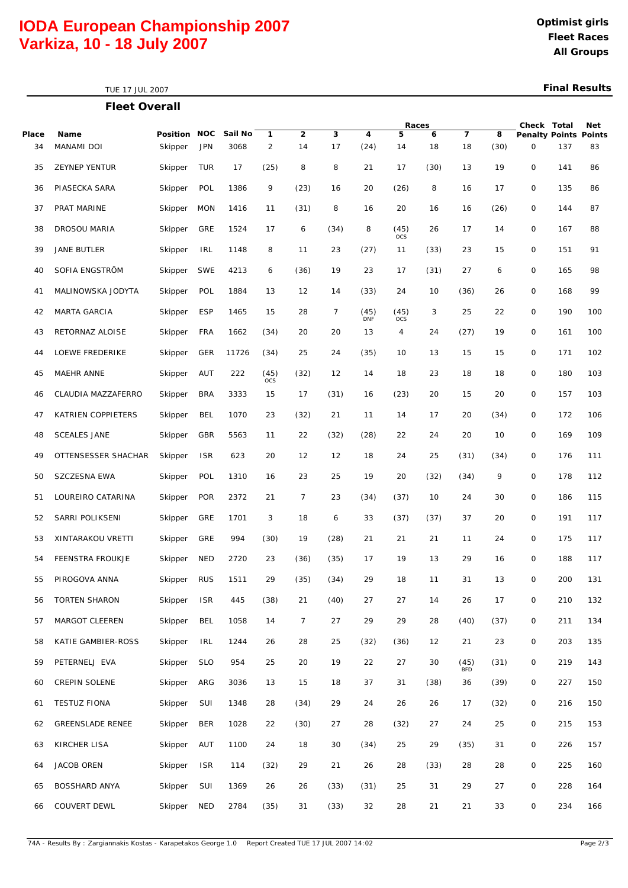# **IODA European Championship 2007 All Groups Varkiza, 10 - 18 July 2007**

TUE 17 JUL 2007

### **Final Results**

|             | <b>Fleet Overall</b>      |                         |            |                 |                     |                      |         |                    |                    |         |                      |           |                                   |     |     |
|-------------|---------------------------|-------------------------|------------|-----------------|---------------------|----------------------|---------|--------------------|--------------------|---------|----------------------|-----------|-----------------------------------|-----|-----|
|             |                           |                         |            |                 |                     |                      |         |                    | Races              |         |                      |           | Check Total                       |     | Net |
| Place<br>34 | Name<br><b>MANAMI DOI</b> | Position NOC<br>Skipper | <b>JPN</b> | Sail No<br>3068 | 1<br>$\overline{2}$ | $\overline{2}$<br>14 | 3<br>17 | 4<br>(24)          | 5<br>14            | 6<br>18 | $\overline{7}$<br>18 | 8<br>(30) | <b>Penalty Points Points</b><br>0 | 137 | 83  |
| 35          | <b>ZEYNEP YENTUR</b>      | Skipper                 | <b>TUR</b> | 17              | (25)                | 8                    | 8       | 21                 | 17                 | (30)    | 13                   | 19        | 0                                 | 141 | 86  |
| 36          | PIASECKA SARA             | Skipper                 | POL        | 1386            | 9                   | (23)                 | 16      | 20                 | (26)               | 8       | 16                   | 17        | 0                                 | 135 | 86  |
| 37          | PRAT MARINE               | Skipper                 | <b>MON</b> | 1416            | 11                  | (31)                 | 8       | 16                 | 20                 | 16      | 16                   | (26)      | 0                                 | 144 | 87  |
| 38          | DROSOU MARIA              | Skipper                 | GRE        | 1524            | 17                  | 6                    | (34)    | 8                  | (45)<br><b>OCS</b> | 26      | 17                   | 14        | 0                                 | 167 | 88  |
| 39          | JANE BUTLER               | Skipper                 | <b>IRL</b> | 1148            | 8                   | 11                   | 23      | (27)               | 11                 | (33)    | 23                   | 15        | 0                                 | 151 | 91  |
| 40          | SOFIA ENGSTRÖM            | Skipper                 | <b>SWE</b> | 4213            | 6                   | (36)                 | 19      | 23                 | 17                 | (31)    | 27                   | 6         | 0                                 | 165 | 98  |
| 41          | MALINOWSKA JODYTA         | Skipper                 | POL        | 1884            | 13                  | 12                   | 14      | (33)               | 24                 | 10      | (36)                 | 26        | 0                                 | 168 | 99  |
| 42          | <b>MARTA GARCIA</b>       | Skipper                 | <b>ESP</b> | 1465            | 15                  | 28                   | 7       | (45)<br><b>DNF</b> | (45)<br><b>OCS</b> | 3       | 25                   | 22        | 0                                 | 190 | 100 |
| 43          | RETORNAZ ALOISE           | Skipper                 | <b>FRA</b> | 1662            | (34)                | 20                   | 20      | 13                 | 4                  | 24      | (27)                 | 19        | 0                                 | 161 | 100 |
| 44          | LOEWE FREDERIKE           | Skipper                 | <b>GER</b> | 11726           | (34)                | 25                   | 24      | (35)               | 10                 | 13      | 15                   | 15        | 0                                 | 171 | 102 |
| 45          | MAEHR ANNE                | Skipper                 | <b>AUT</b> | 222             | (45)<br><b>OCS</b>  | (32)                 | 12      | 14                 | 18                 | 23      | 18                   | 18        | 0                                 | 180 | 103 |
| 46          | CLAUDIA MAZZAFERRO        | Skipper                 | <b>BRA</b> | 3333            | 15                  | 17                   | (31)    | 16                 | (23)               | 20      | 15                   | 20        | 0                                 | 157 | 103 |
| 47          | KATRIEN COPPIETERS        | Skipper                 | <b>BEL</b> | 1070            | 23                  | (32)                 | 21      | 11                 | 14                 | 17      | 20                   | (34)      | 0                                 | 172 | 106 |
| 48          | <b>SCEALES JANE</b>       | Skipper                 | GBR        | 5563            | 11                  | 22                   | (32)    | (28)               | 22                 | 24      | 20                   | 10        | 0                                 | 169 | 109 |
| 49          | OTTENSESSER SHACHAR       | Skipper                 | <b>ISR</b> | 623             | 20                  | 12                   | 12      | 18                 | 24                 | 25      | (31)                 | (34)      | 0                                 | 176 | 111 |
| 50          | SZCZESNA EWA              | Skipper                 | POL        | 1310            | 16                  | 23                   | 25      | 19                 | 20                 | (32)    | (34)                 | 9         | 0                                 | 178 | 112 |
| 51          | LOUREIRO CATARINA         | Skipper                 | <b>POR</b> | 2372            | 21                  | 7                    | 23      | (34)               | (37)               | 10      | 24                   | 30        | 0                                 | 186 | 115 |
| 52          | SARRI POLIKSENI           | Skipper                 | GRE        | 1701            | 3                   | 18                   | 6       | 33                 | (37)               | (37)    | 37                   | 20        | 0                                 | 191 | 117 |
| 53          | XINTARAKOU VRETTI         | Skipper                 | GRE        | 994             | (30)                | 19                   | (28)    | 21                 | 21                 | 21      | 11                   | 24        | 0                                 | 175 | 117 |
| 54          | FEENSTRA FROUKJE          | Skipper                 | <b>NED</b> | 2720            | 23                  | (36)                 | (35)    | 17                 | 19                 | 13      | 29                   | 16        | $\mathbf 0$                       | 188 | 117 |
| 55          | PIROGOVA ANNA             | Skipper                 | <b>RUS</b> | 1511            | 29                  | (35)                 | (34)    | 29                 | 18                 | 11      | 31                   | 13        | 0                                 | 200 | 131 |
| 56          | TORTEN SHARON             | Skipper                 | <b>ISR</b> | 445             | (38)                | 21                   | (40)    | 27                 | 27                 | 14      | 26                   | 17        | 0                                 | 210 | 132 |
| 57          | MARGOT CLEEREN            | Skipper                 | <b>BEL</b> | 1058            | 14                  | $\overline{7}$       | 27      | 29                 | 29                 | 28      | (40)                 | (37)      | 0                                 | 211 | 134 |
| 58          | KATIE GAMBIER-ROSS        | Skipper                 | <b>IRL</b> | 1244            | 26                  | 28                   | 25      | (32)               | (36)               | 12      | 21                   | 23        | 0                                 | 203 | 135 |
| 59          | PETERNELJ EVA             | Skipper                 | <b>SLO</b> | 954             | 25                  | 20                   | 19      | 22                 | 27                 | 30      | (45)<br><b>BFD</b>   | (31)      | 0                                 | 219 | 143 |
| 60          | CREPIN SOLENE             | Skipper                 | ARG        | 3036            | 13                  | 15                   | 18      | 37                 | 31                 | (38)    | 36                   | (39)      | 0                                 | 227 | 150 |
| 61          | <b>TESTUZ FIONA</b>       | Skipper                 | SUI        | 1348            | 28                  | (34)                 | 29      | 24                 | 26                 | 26      | 17                   | (32)      | 0                                 | 216 | 150 |
| 62          | GREENSLADE RENEE          | Skipper                 | <b>BER</b> | 1028            | 22                  | (30)                 | 27      | 28                 | (32)               | 27      | 24                   | 25        | 0                                 | 215 | 153 |
| 63          | KIRCHER LISA              | Skipper                 | <b>AUT</b> | 1100            | 24                  | 18                   | 30      | (34)               | 25                 | 29      | (35)                 | 31        | 0                                 | 226 | 157 |
| 64          | JACOB OREN                | Skipper                 | <b>ISR</b> | 114             | (32)                | 29                   | 21      | 26                 | 28                 | (33)    | 28                   | 28        | 0                                 | 225 | 160 |
| 65          | BOSSHARD ANYA             | Skipper                 | SUI        | 1369            | 26                  | 26                   | (33)    | (31)               | 25                 | 31      | 29                   | 27        | 0                                 | 228 | 164 |
| 66          | <b>COUVERT DEWL</b>       | Skipper                 | <b>NED</b> | 2784            | (35)                | 31                   | (33)    | 32                 | 28                 | 21      | 21                   | 33        | 0                                 | 234 | 166 |